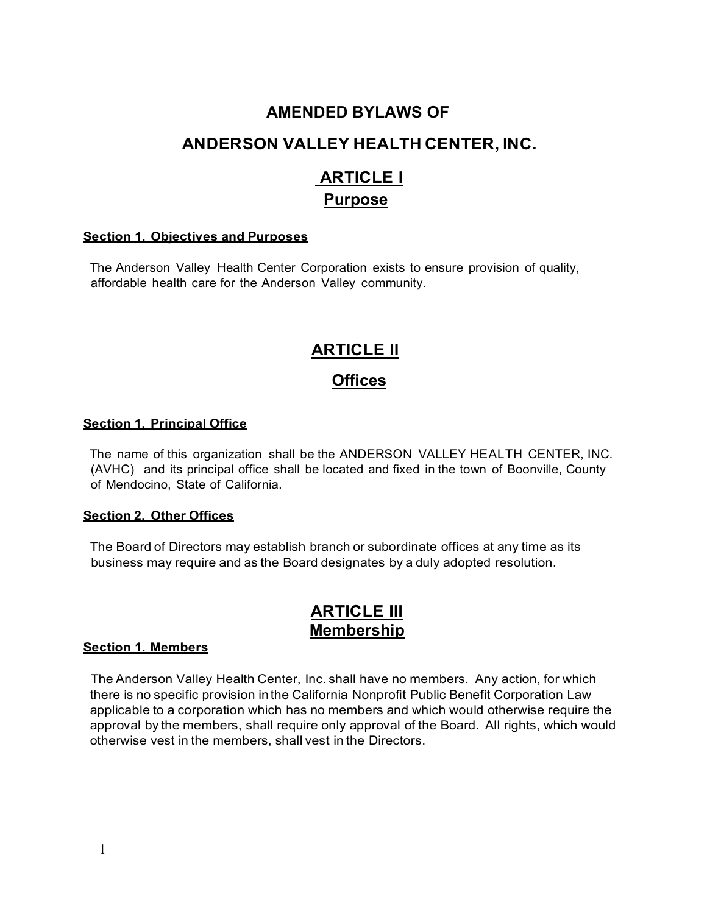# **AMENDED BYLAWS OF**

# **ANDERSON VALLEY HEALTH CENTER, INC.**

# **ARTICLE I Purpose**

#### **Section 1. Objectives and Purposes**

The Anderson Valley Health Center Corporation exists to ensure provision of quality, affordable health care for the Anderson Valley community.

# **ARTICLE II**

# **Offices**

#### **Section 1. Principal Office**

The name of this organization shall be the ANDERSON VALLEY HEALTH CENTER, INC. (AVHC) and its principal office shall be located and fixed in the town of Boonville, County of Mendocino, State of California.

#### **Section 2. Other Offices**

The Board of Directors may establish branch or subordinate offices at any time as its business may require and as the Board designates by a duly adopted resolution.

# **ARTICLE Ill Membership**

#### **Section 1. Members**

The Anderson Valley Health Center, Inc. shall have no members. Any action, for which there is no specific provision inthe California Nonprofit Public Benefit Corporation Law applicable to a corporation which has no members and which would otherwise require the approval by the members, shall require only approval of the Board. All rights, which would otherwise vest in the members, shall vest in the Directors.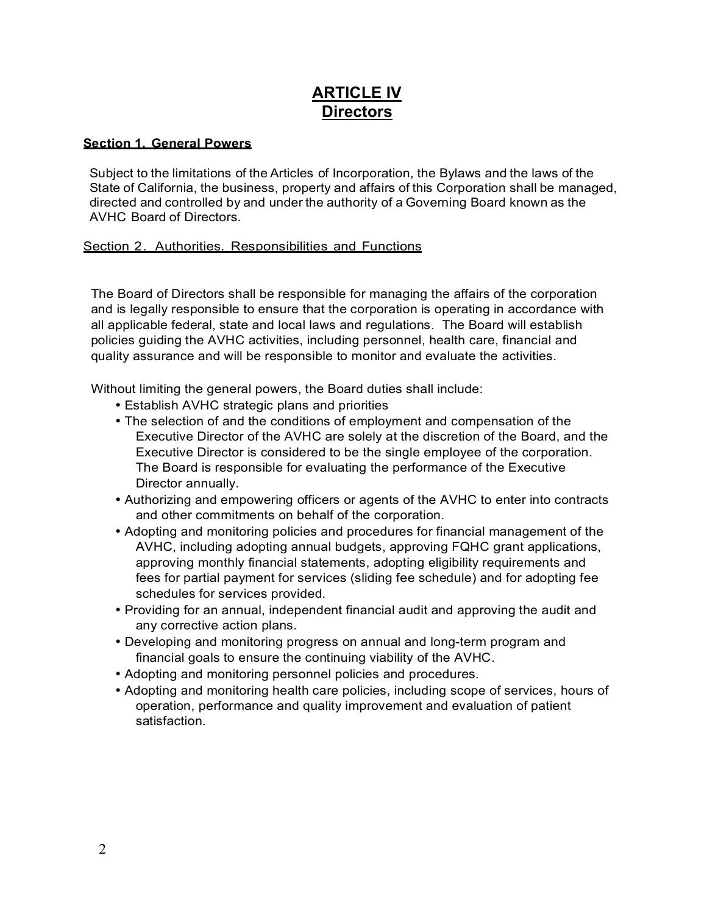# **ARTICLE IV Directors**

### **Section 1. General Powers**

Subject to the limitations of the Articles of Incorporation, the Bylaws and the laws of the State of California, the business, property and affairs of this Corporation shall be managed, directed and controlled by and under the authority of a Governing Board known as the AVHC Board of Directors.

#### Section 2. Authorities. Responsibilities and Functions

The Board of Directors shall be responsible for managing the affairs of the corporation and is legally responsible to ensure that the corporation is operating in accordance with all applicable federal, state and local laws and regulations. The Board will establish policies guiding the AVHC activities, including personnel, health care, financial and quality assurance and will be responsible to monitor and evaluate the activities.

Without limiting the general powers, the Board duties shall include:

- Establish AVHC strategic plans and priorities
- The selection of and the conditions of employment and compensation of the Executive Director of the AVHC are solely at the discretion of the Board, and the Executive Director is considered to be the single employee of the corporation. The Board is responsible for evaluating the performance of the Executive Director annually.
- Authorizing and empowering officers or agents of the AVHC to enter into contracts and other commitments on behalf of the corporation.
- Adopting and monitoring policies and procedures for financial management of the AVHC, including adopting annual budgets, approving FQHC grant applications, approving monthly financial statements, adopting eligibility requirements and fees for partial payment for services (sliding fee schedule) and for adopting fee schedules for services provided.
- Providing for an annual, independent financial audit and approving the audit and any corrective action plans.
- Developing and monitoring progress on annual and long-term program and financial goals to ensure the continuing viability of the AVHC.
- Adopting and monitoring personnel policies and procedures.
- Adopting and monitoring health care policies, including scope of services, hours of operation, performance and quality improvement and evaluation of patient satisfaction.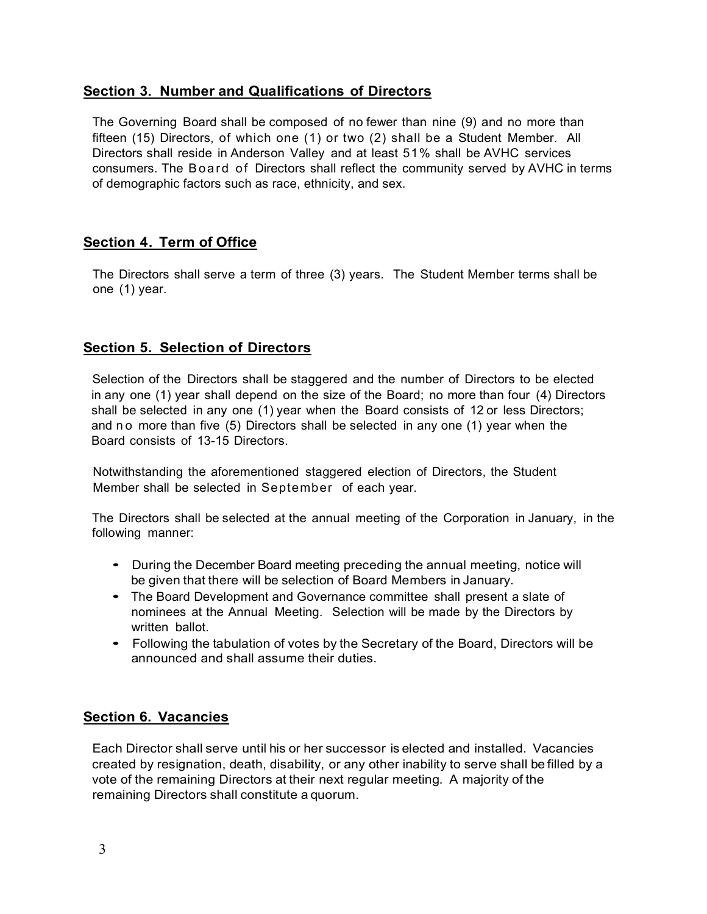## **Section 3. Number and Qualifications of Directors**

The Governing Board shall be composed of no fewer than nine (9) and no more than fifteen (15) Directors, of which one (1) or two (2) shall be a Student Member. All Directors shall reside in Anderson Valley and at least 51% shall be AVHC services consumers. The Board of Directors shall reflect the community served by AVHC in terms of demographic factors such as race, ethnicity, and sex.

## **Section 4. Term of Office**

The Directors shall serve a term of three (3) years. The Student Member terms shall be one (1) year.

## **Section 5. Selection of Directors**

Selection of the Directors shall be staggered and the number of Directors to be elected in any one (1) year shall depend on the size of the Board; no more than four (4) Directors shall be selected in any one (1) year when the Board consists of 12 or less Directors; and no more than five (5) Directors shall be selected in any one (1) year when the Board consists of 13-15 Directors.

Notwithstanding the aforementioned staggered election of Directors, the Student Member shall be selected in September of each year.

The Directors shall be selected at the annual meeting of the Corporation in January, in the following manner:

- During the December Board meeting preceding the annual meeting, notice will be given that there will be selection of Board Members in January.
- The Board Development and Governance committee shall present <sup>a</sup> slate of nominees at the Annual Meeting. Selection will be made by the Directors by written ballot.
- Following the tabulation of votes by the Secretary of the Board, Directors will be announced and shall assume their duties.

## **Section 6. Vacancies**

Each Director shall serve until his or her successor is elected and installed. Vacancies created by resignation, death, disability, or any other inability to serve shall be filled by a vote of the remaining Directors at their next regular meeting. A majority of the remaining Directors shall constitute a quorum.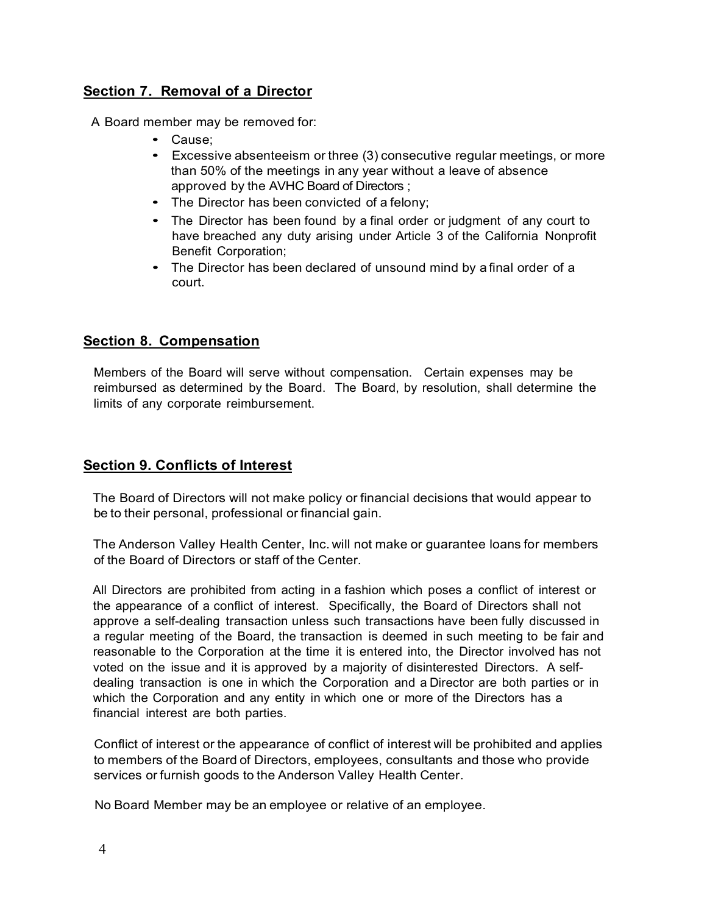## **Section 7. Removal of a Director**

A Board member may be removed for:

- Cause;
- Excessive absenteeism or three (3) consecutive regular meetings, or more than 50% of the meetings in any year without a leave of absence approved by the AVHC Board of Directors ;
- The Director has been convicted of <sup>a</sup> felony;
- The Director has been found by <sup>a</sup> final order or judgment of any court to have breached any duty arising under Article 3 of the California Nonprofit Benefit Corporation;
- The Director has been declared of unsound mind by <sup>a</sup> final order of <sup>a</sup> court.

## **Section 8. Compensation**

Members of the Board will serve without compensation. Certain expenses may be reimbursed as determined by the Board. The Board, by resolution, shall determine the limits of any corporate reimbursement.

# **Section 9. Conflicts of Interest**

The Board of Directors will not make policy or financial decisions that would appear to be to their personal, professional or financial gain.

The Anderson Valley Health Center, Inc. will not make or guarantee loans for members of the Board of Directors or staff of the Center.

All Directors are prohibited from acting in a fashion which poses a conflict of interest or the appearance of a conflict of interest. Specifically, the Board of Directors shall not approve a self-dealing transaction unless such transactions have been fully discussed in a regular meeting of the Board, the transaction is deemed in such meeting to be fair and reasonable to the Corporation at the time it is entered into, the Director involved has not voted on the issue and it is approved by a majority of disinterested Directors. A selfdealing transaction is one in which the Corporation and a Director are both parties or in which the Corporation and any entity in which one or more of the Directors has a financial interest are both parties.

Conflict of interest or the appearance of conflict of interest will be prohibited and applies to members of the Board of Directors, employees, consultants and those who provide services or furnish goods to the Anderson Valley Health Center.

No Board Member may be an employee or relative of an employee.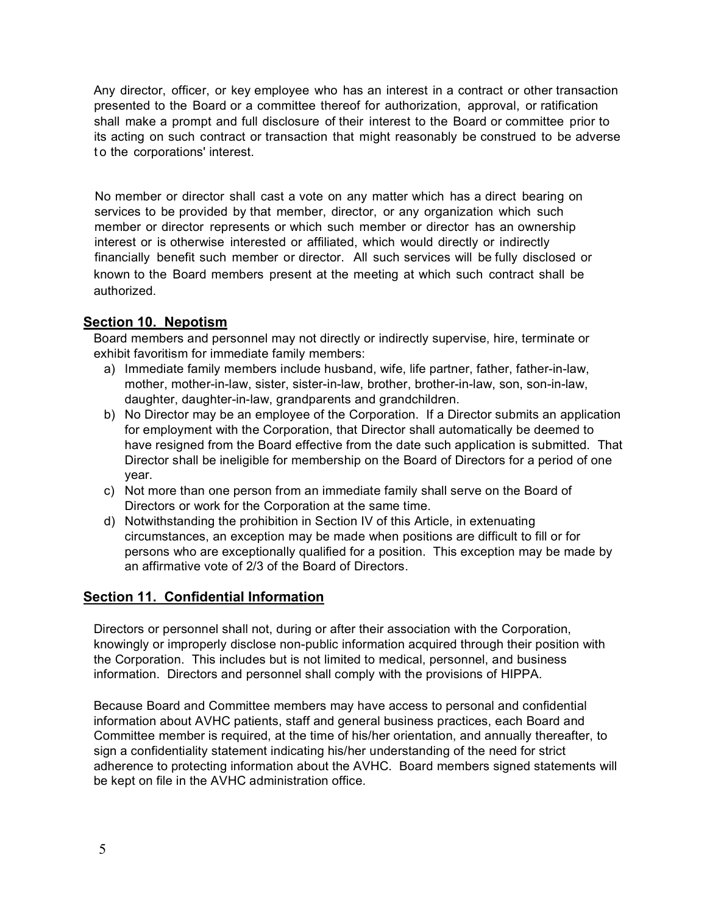Any director, officer, or key employee who has an interest in a contract or other transaction presented to the Board or a committee thereof for authorization, approval, or ratification shall make a prompt and full disclosure of their interest to the Board or committee prior to its acting on such contract or transaction that might reasonably be construed to be adverse t o the corporations' interest.

No member or director shall cast a vote on any matter which has a direct bearing on services to be provided by that member, director, or any organization which such member or director represents or which such member or director has an ownership interest or is otherwise interested or affiliated, which would directly or indirectly financially benefit such member or director. All such services will be fully disclosed or known to the Board members present at the meeting at which such contract shall be authorized.

## **Section 10. Nepotism**

Board members and personnel may not directly or indirectly supervise, hire, terminate or exhibit favoritism for immediate family members:

- a) Immediate family members include husband, wife, life partner, father, father-in-law, mother, mother-in-law, sister, sister-in-law, brother, brother-in-law, son, son-in-law, daughter, daughter-in-law, grandparents and grandchildren.
- b) No Director may be an employee of the Corporation. If a Director submits an application for employment with the Corporation, that Director shall automatically be deemed to have resigned from the Board effective from the date such application is submitted. That Director shall be ineligible for membership on the Board of Directors for a period of one year.
- c) Not more than one person from an immediate family shall serve on the Board of Directors or work for the Corporation at the same time.
- d) Notwithstanding the prohibition in Section IV of this Article, in extenuating circumstances, an exception may be made when positions are difficult to fill or for persons who are exceptionally qualified for a position. This exception may be made by an affirmative vote of 2/3 of the Board of Directors.

# **Section 11. Confidential Information**

Directors or personnel shall not, during or after their association with the Corporation, knowingly or improperly disclose non-public information acquired through their position with the Corporation. This includes but is not limited to medical, personnel, and business information. Directors and personnel shall comply with the provisions of HIPPA.

Because Board and Committee members may have access to personal and confidential information about AVHC patients, staff and general business practices, each Board and Committee member is required, at the time of his/her orientation, and annually thereafter, to sign a confidentiality statement indicating his/her understanding of the need for strict adherence to protecting information about the AVHC. Board members signed statements will be kept on file in the AVHC administration office.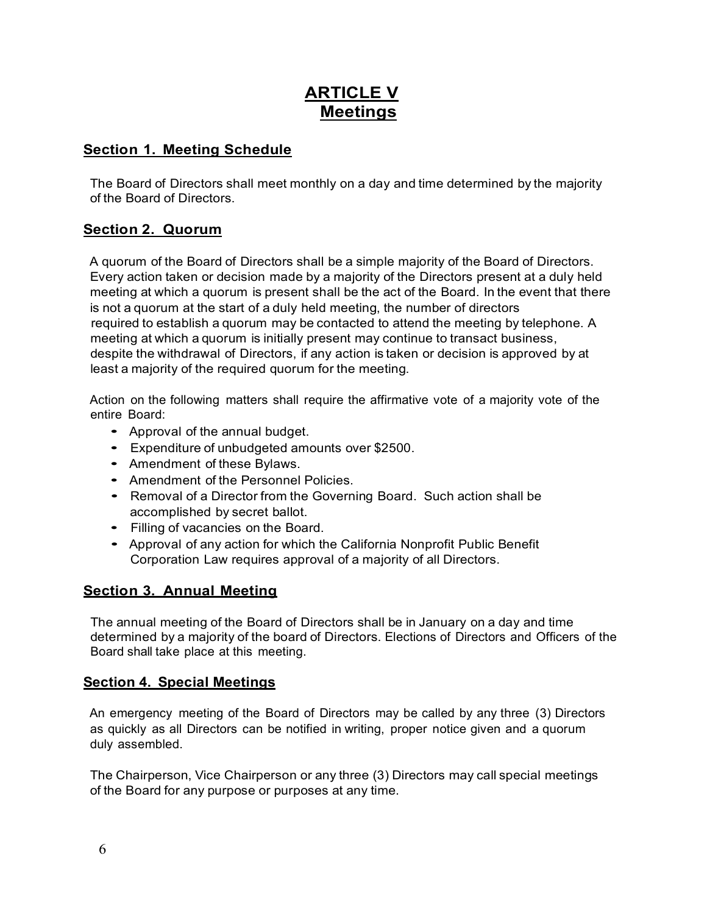# **ARTICLE V Meetings**

# **Section 1. Meeting Schedule**

The Board of Directors shall meet monthly on a day and time determined by the majority of the Board of Directors.

## **Section 2. Quorum**

A quorum of the Board of Directors shall be a simple majority of the Board of Directors. Every action taken or decision made by a majority of the Directors present at a duly held meeting at which a quorum is present shall be the act of the Board. In the event that there is not a quorum at the start of a duly held meeting, the number of directors required to establish a quorum may be contacted to attend the meeting by telephone. A meeting at which a quorum is initially present may continue to transact business, despite the withdrawal of Directors, if any action is taken or decision is approved by at least a majority of the required quorum for the meeting.

Action on the following matters shall require the affirmative vote of a majority vote of the entire Board:

- Approval of the annual budget.
- Expenditure of unbudgeted amounts over \$2500.
- Amendment of these Bylaws.
- Amendment of the Personnel Policies.
- Removal of <sup>a</sup> Director from the Governing Board. Such action shall be accomplished by secret ballot.
- Filling of vacancies on the Board.
- Approval of any action for which the California Nonprofit Public Benefit Corporation Law requires approval of a majority of all Directors.

# **Section 3. Annual Meeting**

The annual meeting of the Board of Directors shall be in January on a day and time determined by a majority of the board of Directors. Elections of Directors and Officers of the Board shall take place at this meeting.

## **Section 4. Special Meetings**

An emergency meeting of the Board of Directors may be called by any three (3) Directors as quickly as all Directors can be notified in writing, proper notice given and a quorum duly assembled.

The Chairperson, Vice Chairperson or any three (3) Directors may call special meetings of the Board for any purpose or purposes at any time.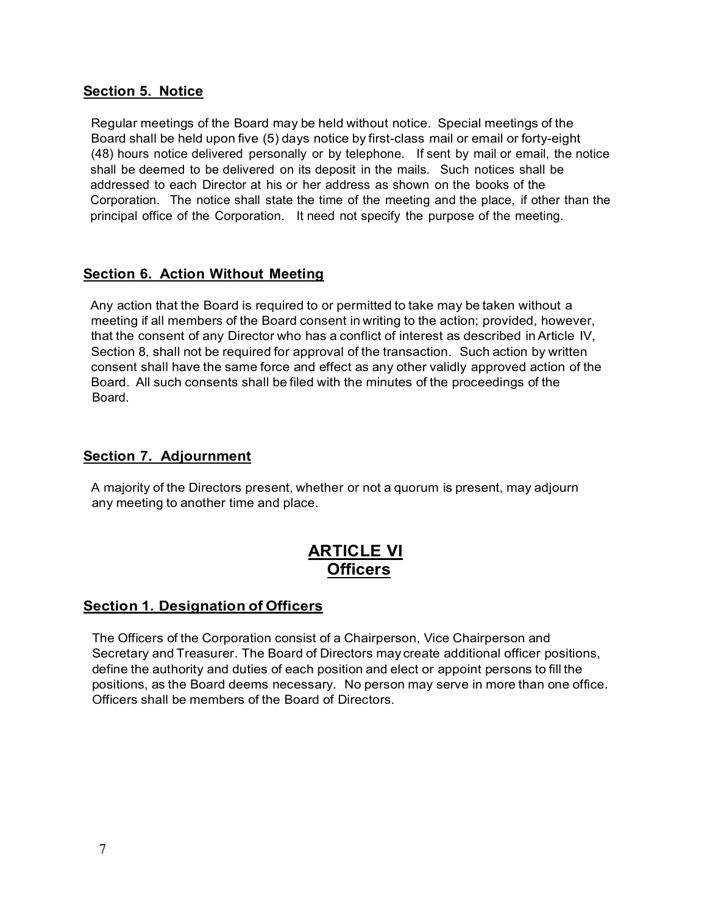## **Section 5. Notice**

Regular meetings of the Board may be held without notice. Special meetings of the Board shall be held upon five (5) days notice by first-class mail or email or forty-eight (48) hours notice delivered personally or by telephone. If sent by mail or email, the notice shall be deemed to be delivered on its deposit in the mails. Such notices shall be addressed to each Director at his or her address as shown on the books of the Corporation. The notice shall state the time of the meeting and the place, if other than the principal office of the Corporation. It need not specify the purpose of the meeting.

## **Section 6. Action Without Meeting**

Any action that the Board is required to or permitted to take may be taken without a meeting if all members of the Board consent in writing to the action; provided, however, that the consent of any Director who has a conflict of interest as described inArticle IV, Section 8, shall not be required for approval of the transaction. Such action by written consent shall have the same force and effect as any other validly approved action of the Board. All such consents shall be filed with the minutes of the proceedings of the Board.

## **Section 7. Adjournment**

A majority of the Directors present, whether or not a quorum is present, may adjourn any meeting to another time and place.

# **ARTICLE VI Officers**

## **Section 1. Designation of Officers**

The Officers of the Corporation consist of a Chairperson, Vice Chairperson and Secretary and Treasurer. The Board of Directors may create additional officer positions, define the authority and duties of each position and elect or appoint persons to fill the positions, as the Board deems necessary. No person may serve in more than one office. Officers shall be members of the Board of Directors.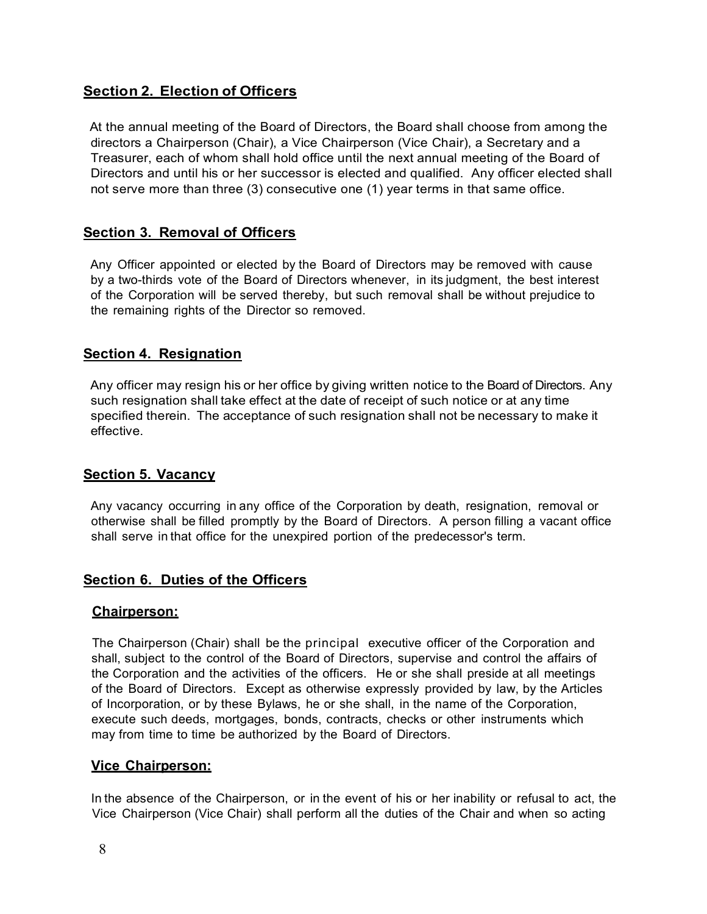# **Section 2. Election of Officers**

At the annual meeting of the Board of Directors, the Board shall choose from among the directors a Chairperson (Chair), a Vice Chairperson (Vice Chair), a Secretary and a Treasurer, each of whom shall hold office until the next annual meeting of the Board of Directors and until his or her successor is elected and qualified. Any officer elected shall not serve more than three (3) consecutive one (1) year terms in that same office.

### **Section 3. Removal of Officers**

Any Officer appointed or elected by the Board of Directors may be removed with cause by a two-thirds vote of the Board of Directors whenever, in its judgment, the best interest of the Corporation will be served thereby, but such removal shall be without prejudice to the remaining rights of the Director so removed.

#### **Section 4. Resignation**

Any officer may resign his or her office by giving written notice to the Board of Directors. Any such resignation shall take effect at the date of receipt of such notice or at any time specified therein. The acceptance of such resignation shall not be necessary to make it effective.

#### **Section 5. Vacancy**

Any vacancy occurring in any office of the Corporation by death, resignation, removal or otherwise shall be filled promptly by the Board of Directors. A person filling a vacant office shall serve in that office for the unexpired portion of the predecessor's term.

## **Section 6. Duties of the Officers**

#### **Chairperson:**

The Chairperson (Chair) shall be the principal executive officer of the Corporation and shall, subject to the control of the Board of Directors, supervise and control the affairs of the Corporation and the activities of the officers. He or she shall preside at all meetings of the Board of Directors. Except as otherwise expressly provided by law, by the Articles of Incorporation, or by these Bylaws, he or she shall, in the name of the Corporation, execute such deeds, mortgages, bonds, contracts, checks or other instruments which may from time to time be authorized by the Board of Directors.

#### **Vice Chairperson:**

In the absence of the Chairperson, or in the event of his or her inability or refusal to act, the Vice Chairperson (Vice Chair) shall perform all the duties of the Chair and when so acting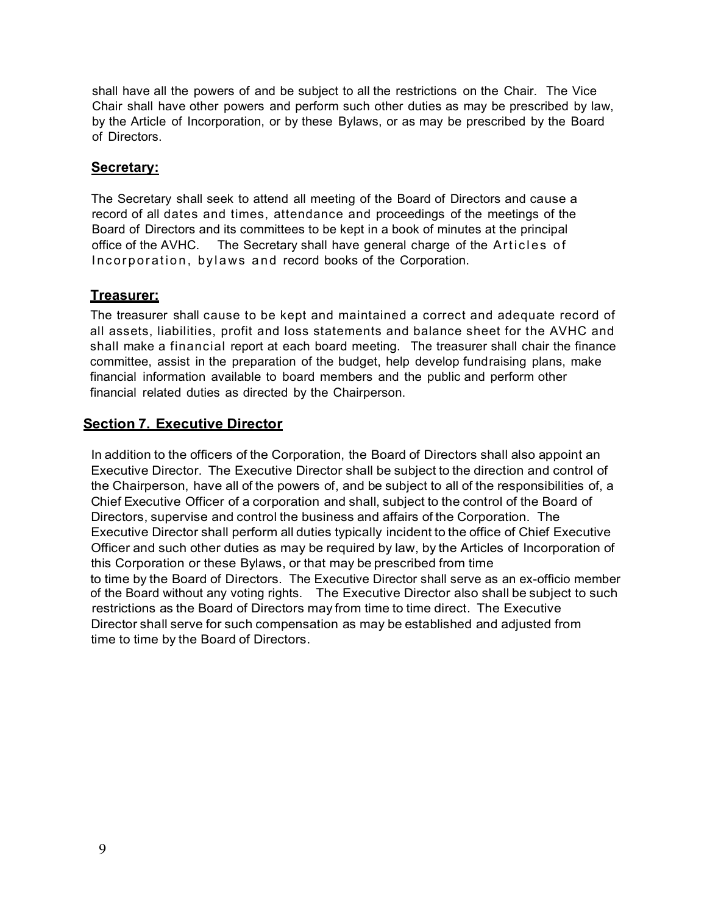shall have all the powers of and be subject to all the restrictions on the Chair. The Vice Chair shall have other powers and perform such other duties as may be prescribed by law, by the Article of Incorporation, or by these Bylaws, or as may be prescribed by the Board of Directors.

### **Secretary:**

The Secretary shall seek to attend all meeting of the Board of Directors and cause a record of all dates and times, attendance and proceedings of the meetings of the Board of Directors and its committees to be kept in a book of minutes at the principal office of the AVHC. The Secretary shall have general charge of the Articles of Incorporation, bylaws and record books of the Corporation.

### **Treasurer:**

The treasurer shall cause to be kept and maintained a correct and adequate record of all assets, liabilities, profit and loss statements and balance sheet for the AVHC and shall make a financial report at each board meeting. The treasurer shall chair the finance committee, assist in the preparation of the budget, help develop fundraising plans, make financial information available to board members and the public and perform other financial related duties as directed by the Chairperson.

### **Section 7. Executive Director**

In addition to the officers of the Corporation, the Board of Directors shall also appoint an Executive Director. The Executive Director shall be subject to the direction and control of the Chairperson, have all of the powers of, and be subject to all of the responsibilities of, a Chief Executive Officer of a corporation and shall, subject to the control of the Board of Directors, supervise and control the business and affairs of the Corporation. The Executive Director shall perform all duties typically incident to the office of Chief Executive Officer and such other duties as may be required by law, by the Articles of Incorporation of this Corporation or these Bylaws, or that may be prescribed from time to time by the Board of Directors. The Executive Director shall serve as an ex-officio member of the Board without any voting rights. The Executive Director also shall be subject to such restrictions as the Board of Directors may from time to time direct. The Executive Director shall serve for such compensation as may be established and adjusted from time to time by the Board of Directors.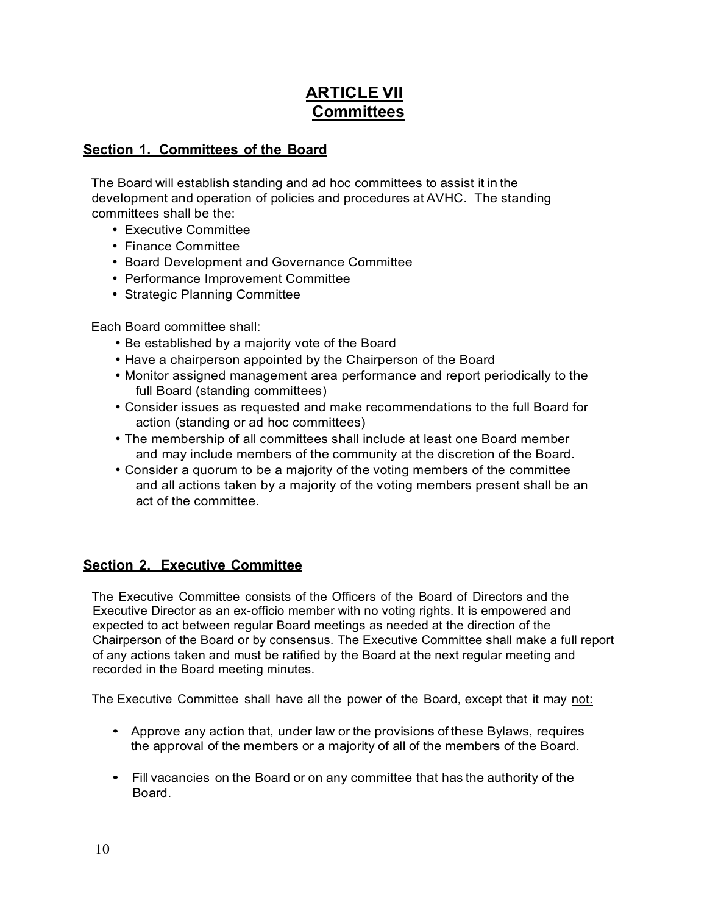# **ARTICLE VII Committees**

## **Section 1. Committees of the Board**

The Board will establish standing and ad hoc committees to assist it in the development and operation of policies and procedures at AVHC. The standing committees shall be the:

- Executive Committee
- Finance Committee
- Board Development and Governance Committee
- Performance Improvement Committee
- Strategic Planning Committee

Each Board committee shall:

- Be established by a majority vote of the Board
- Have a chairperson appointed by the Chairperson of the Board
- Monitor assigned management area performance and report periodically to the full Board (standing committees)
- Consider issues as requested and make recommendations to the full Board for action (standing or ad hoc committees)
- The membership of all committees shall include at least one Board member and may include members of the community at the discretion of the Board.
- Consider a quorum to be a majority of the voting members of the committee and all actions taken by a majority of the voting members present shall be an act of the committee.

# **Section 2. Executive Committee**

The Executive Committee consists of the Officers of the Board of Directors and the Executive Director as an ex-officio member with no voting rights. It is empowered and expected to act between regular Board meetings as needed at the direction of the Chairperson of the Board or by consensus. The Executive Committee shall make a full report of any actions taken and must be ratified by the Board at the next regular meeting and recorded in the Board meeting minutes.

The Executive Committee shall have all the power of the Board, except that it may not:

- Approve any action that, under law or the provisions of these Bylaws, requires the approval of the members or a majority of all of the members of the Board.
- Fill vacancies on the Board or on any committee that has the authority of the **Board**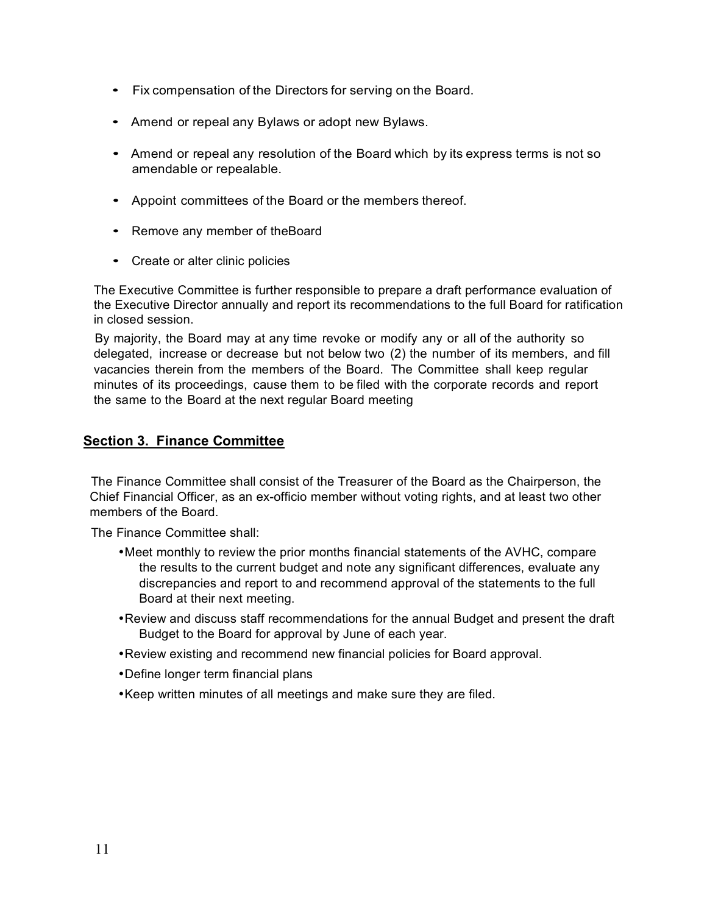- Fix compensation of the Directors for serving on the Board.
- Amend or repeal any Bylaws or adopt new Bylaws.
- Amend or repeal any resolution of the Board which by its express terms is not so amendable or repealable.
- Appoint committees of the Board or the members thereof.
- Remove any member of theBoard
- Create or alter clinic policies

The Executive Committee is further responsible to prepare a draft performance evaluation of the Executive Director annually and report its recommendations to the full Board for ratification in closed session.

By majority, the Board may at any time revoke or modify any or all of the authority so delegated, increase or decrease but not below two (2) the number of its members, and fill vacancies therein from the members of the Board. The Committee shall keep regular minutes of its proceedings, cause them to be filed with the corporate records and report the same to the Board at the next regular Board meeting

## **Section 3. Finance Committee**

The Finance Committee shall consist of the Treasurer of the Board as the Chairperson, the Chief Financial Officer, as an ex-officio member without voting rights, and at least two other members of the Board.

The Finance Committee shall:

- •Meet monthly to review the prior months financial statements of the AVHC, compare the results to the current budget and note any significant differences, evaluate any discrepancies and report to and recommend approval of the statements to the full Board at their next meeting.
- •Review and discuss staff recommendations for the annual Budget and present the draft Budget to the Board for approval by June of each year.
- •Review existing and recommend new financial policies for Board approval.
- •Define longer term financial plans
- •Keep written minutes of all meetings and make sure they are filed.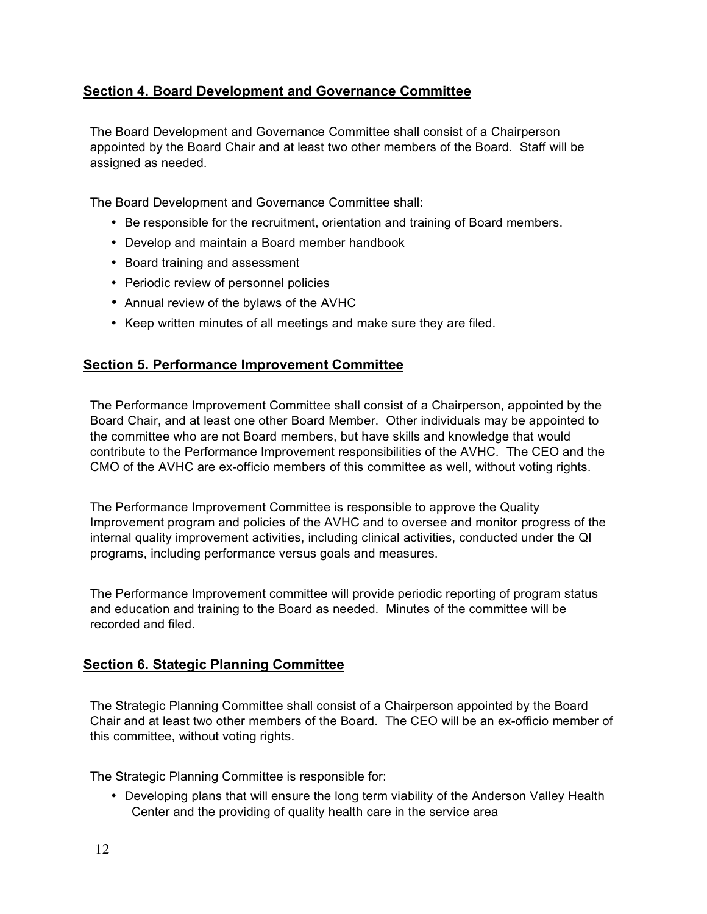# **Section 4. Board Development and Governance Committee**

The Board Development and Governance Committee shall consist of a Chairperson appointed by the Board Chair and at least two other members of the Board. Staff will be assigned as needed.

The Board Development and Governance Committee shall:

- Be responsible for the recruitment, orientation and training of Board members.
- Develop and maintain a Board member handbook
- Board training and assessment
- Periodic review of personnel policies
- Annual review of the bylaws of the AVHC
- Keep written minutes of all meetings and make sure they are filed.

### **Section 5. Performance Improvement Committee**

The Performance Improvement Committee shall consist of a Chairperson, appointed by the Board Chair, and at least one other Board Member. Other individuals may be appointed to the committee who are not Board members, but have skills and knowledge that would contribute to the Performance Improvement responsibilities of the AVHC. The CEO and the CMO of the AVHC are ex-officio members of this committee as well, without voting rights.

The Performance Improvement Committee is responsible to approve the Quality Improvement program and policies of the AVHC and to oversee and monitor progress of the internal quality improvement activities, including clinical activities, conducted under the QI programs, including performance versus goals and measures.

The Performance Improvement committee will provide periodic reporting of program status and education and training to the Board as needed. Minutes of the committee will be recorded and filed.

## **Section 6. Stategic Planning Committee**

The Strategic Planning Committee shall consist of a Chairperson appointed by the Board Chair and at least two other members of the Board. The CEO will be an ex-officio member of this committee, without voting rights.

The Strategic Planning Committee is responsible for:

• Developing plans that will ensure the long term viability of the Anderson Valley Health Center and the providing of quality health care in the service area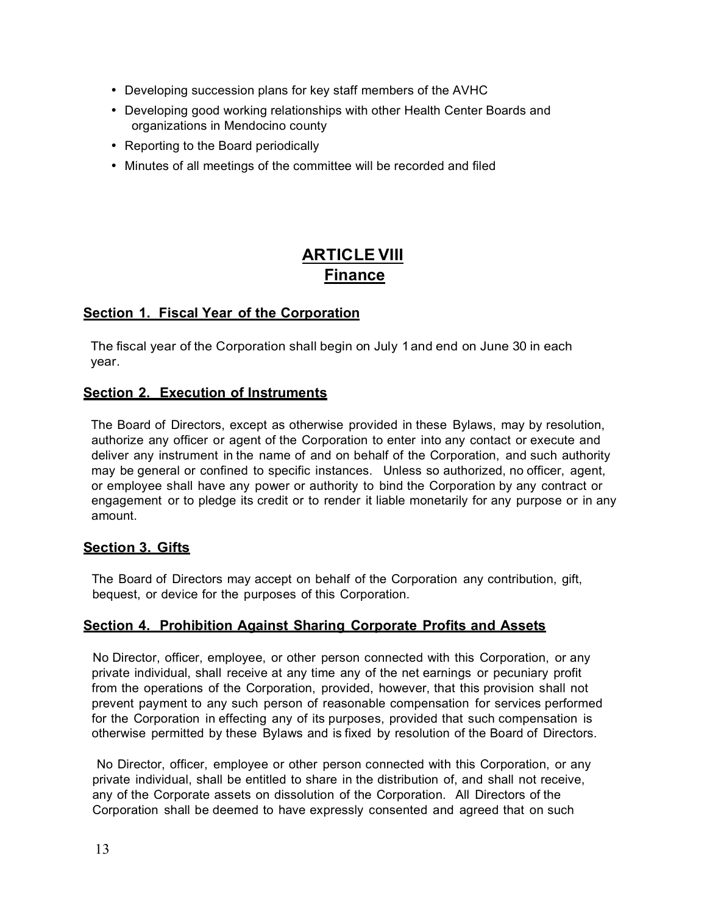- Developing succession plans for key staff members of the AVHC
- Developing good working relationships with other Health Center Boards and organizations in Mendocino county
- Reporting to the Board periodically
- Minutes of all meetings of the committee will be recorded and filed

# **ARTICLE VIII Finance**

# **Section 1. Fiscal Year of the Corporation**

The fiscal year of the Corporation shall begin on July 1and end on June 30 in each year.

## **Section 2. Execution of Instruments**

The Board of Directors, except as otherwise provided in these Bylaws, may by resolution, authorize any officer or agent of the Corporation to enter into any contact or execute and deliver any instrument in the name of and on behalf of the Corporation, and such authority may be general or confined to specific instances. Unless so authorized, no officer, agent, or employee shall have any power or authority to bind the Corporation by any contract or engagement or to pledge its credit or to render it liable monetarily for any purpose or in any amount.

## **Section 3. Gifts**

The Board of Directors may accept on behalf of the Corporation any contribution, gift, bequest, or device for the purposes of this Corporation.

# **Section 4. Prohibition Against Sharing Corporate Profits and Assets**

No Director, officer, employee, or other person connected with this Corporation, or any private individual, shall receive at any time any of the net earnings or pecuniary profit from the operations of the Corporation, provided, however, that this provision shall not prevent payment to any such person of reasonable compensation for services performed for the Corporation in effecting any of its purposes, provided that such compensation is otherwise permitted by these Bylaws and is fixed by resolution of the Board of Directors.

No Director, officer, employee or other person connected with this Corporation, or any private individual, shall be entitled to share in the distribution of, and shall not receive, any of the Corporate assets on dissolution of the Corporation. All Directors of the Corporation shall be deemed to have expressly consented and agreed that on such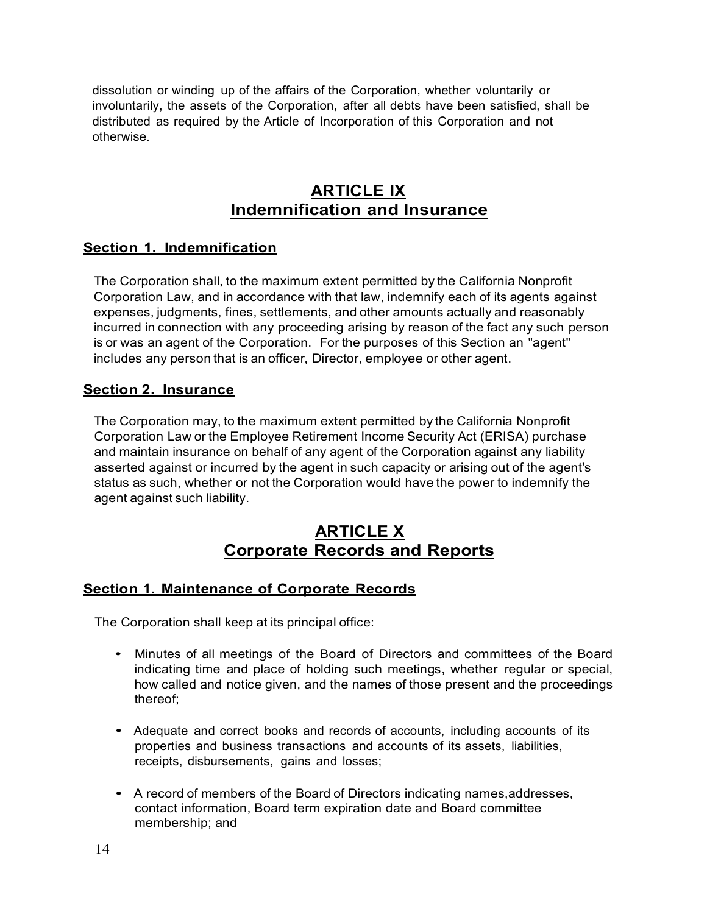dissolution or winding up of the affairs of the Corporation, whether voluntarily or involuntarily, the assets of the Corporation, after all debts have been satisfied, shall be distributed as required by the Article of Incorporation of this Corporation and not otherwise.

# **ARTICLE IX Indemnification and Insurance**

## **Section 1. Indemnification**

The Corporation shall, to the maximum extent permitted by the California Nonprofit Corporation Law, and in accordance with that law, indemnify each of its agents against expenses, judgments, fines, settlements, and other amounts actually and reasonably incurred in connection with any proceeding arising by reason of the fact any such person is or was an agent of the Corporation. For the purposes of this Section an "agent" includes any person that is an officer, Director, employee or other agent.

## **Section 2. Insurance**

The Corporation may, to the maximum extent permitted by the California Nonprofit Corporation Law or the Employee Retirement Income Security Act (ERISA) purchase and maintain insurance on behalf of any agent of the Corporation against any liability asserted against or incurred by the agent in such capacity or arising out of the agent's status as such, whether or not the Corporation would have the power to indemnify the agent against such liability.

# **ARTICLE X Corporate Records and Reports**

## **Section 1. Maintenance of Corporate Records**

The Corporation shall keep at its principal office:

- Minutes of all meetings of the Board of Directors and committees of the Board indicating time and place of holding such meetings, whether regular or special, how called and notice given, and the names of those present and the proceedings thereof;
- Adequate and correct books and records of accounts, including accounts of its properties and business transactions and accounts of its assets, liabilities, receipts, disbursements, gains and losses;
- A record of members of the Board of Directors indicating names,addresses, contact information, Board term expiration date and Board committee membership; and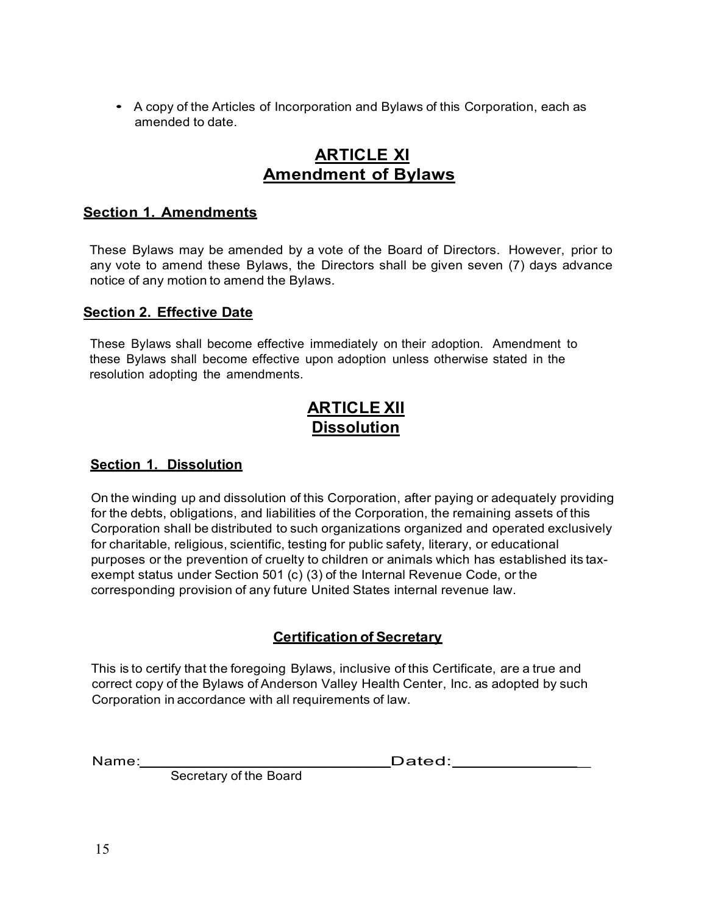• <sup>A</sup> copy of the Articles of Incorporation and Bylaws of this Corporation, each as amended to date.

# **ARTICLE XI Amendment of Bylaws**

## **Section 1. Amendments**

These Bylaws may be amended by a vote of the Board of Directors. However, prior to any vote to amend these Bylaws, the Directors shall be given seven (7) days advance notice of any motion to amend the Bylaws.

## **Section 2. Effective Date**

These Bylaws shall become effective immediately on their adoption. Amendment to these Bylaws shall become effective upon adoption unless otherwise stated in the resolution adopting the amendments.

# **ARTICLE XII Dissolution**

## **Section 1. Dissolution**

On the winding up and dissolution of this Corporation, after paying or adequately providing for the debts, obligations, and liabilities of the Corporation, the remaining assets of this Corporation shall be distributed to such organizations organized and operated exclusively for charitable, religious, scientific, testing for public safety, literary, or educational purposes or the prevention of cruelty to children or animals which has established its taxexempt status under Section 501 (c) (3) of the Internal Revenue Code, or the corresponding provision of any future United States internal revenue law.

# **Certification of Secretary**

This is to certify that the foregoing Bylaws, inclusive of this Certificate, are a true and correct copy of the Bylaws of Anderson Valley Health Center, Inc. as adopted by such Corporation in accordance with all requirements of law.

Name: \_\_\_\_\_\_\_\_\_\_\_\_\_\_\_\_\_\_\_\_\_\_\_\_\_\_\_\_Dated: \_

Secretary of the Board